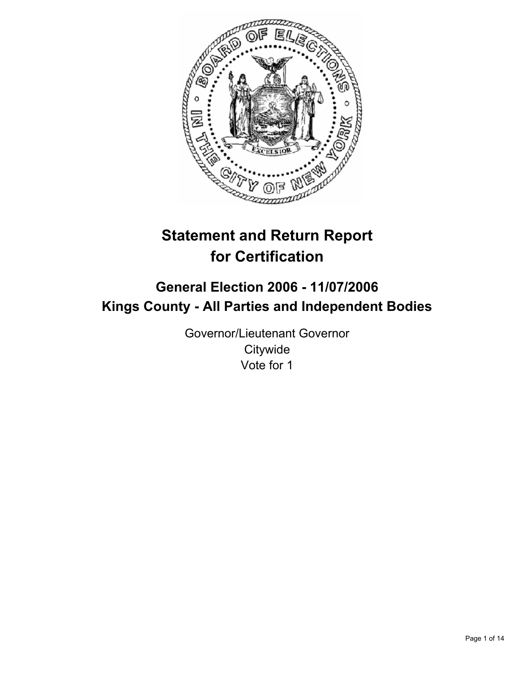

# **Statement and Return Report for Certification**

# **General Election 2006 - 11/07/2006 Kings County - All Parties and Independent Bodies**

Governor/Lieutenant Governor **Citywide** Vote for 1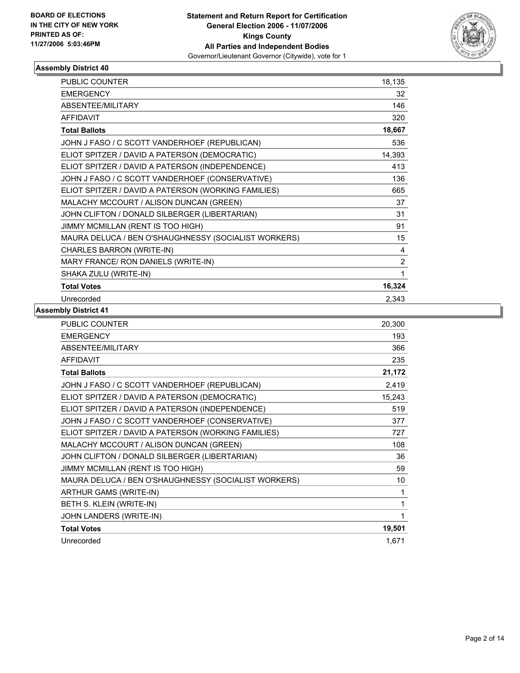

| <b>PUBLIC COUNTER</b>                                | 18,135         |
|------------------------------------------------------|----------------|
| <b>EMERGENCY</b>                                     | 32             |
| ABSENTEE/MILITARY                                    | 146            |
| <b>AFFIDAVIT</b>                                     | 320            |
| <b>Total Ballots</b>                                 | 18,667         |
| JOHN J FASO / C SCOTT VANDERHOEF (REPUBLICAN)        | 536            |
| ELIOT SPITZER / DAVID A PATERSON (DEMOCRATIC)        | 14,393         |
| ELIOT SPITZER / DAVID A PATERSON (INDEPENDENCE)      | 413            |
| JOHN J FASO / C SCOTT VANDERHOEF (CONSERVATIVE)      | 136            |
| ELIOT SPITZER / DAVID A PATERSON (WORKING FAMILIES)  | 665            |
| MALACHY MCCOURT / ALISON DUNCAN (GREEN)              | 37             |
| JOHN CLIFTON / DONALD SILBERGER (LIBERTARIAN)        | 31             |
| JIMMY MCMILLAN (RENT IS TOO HIGH)                    | 91             |
| MAURA DELUCA / BEN O'SHAUGHNESSY (SOCIALIST WORKERS) | 15             |
| CHARLES BARRON (WRITE-IN)                            | 4              |
| MARY FRANCE/ RON DANIELS (WRITE-IN)                  | $\overline{2}$ |
| SHAKA ZULU (WRITE-IN)                                |                |
| <b>Total Votes</b>                                   | 16,324         |
| Unrecorded                                           | 2,343          |

| 20,300 |
|--------|
| 193    |
| 366    |
| 235    |
| 21,172 |
| 2,419  |
| 15,243 |
| 519    |
| 377    |
| 727    |
| 108    |
| 36     |
| 59     |
| 10     |
| 1      |
|        |
|        |
| 19,501 |
| 1,671  |
|        |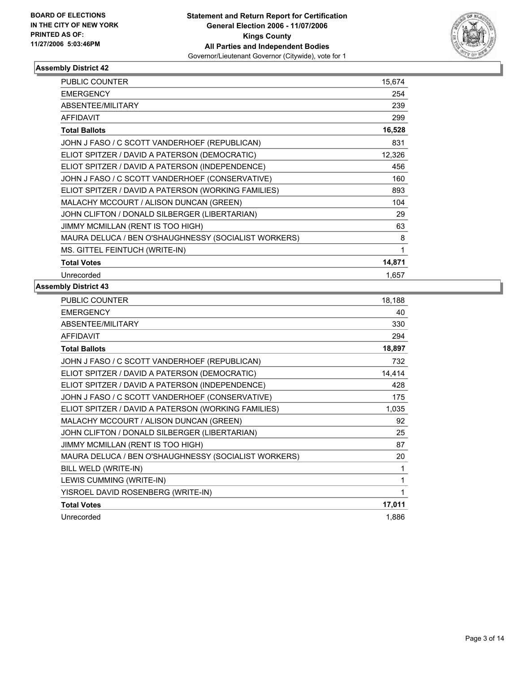

| <b>PUBLIC COUNTER</b>                                | 15,674 |
|------------------------------------------------------|--------|
| <b>EMERGENCY</b>                                     | 254    |
| ABSENTEE/MILITARY                                    | 239    |
| <b>AFFIDAVIT</b>                                     | 299    |
| <b>Total Ballots</b>                                 | 16,528 |
| JOHN J FASO / C SCOTT VANDERHOEF (REPUBLICAN)        | 831    |
| ELIOT SPITZER / DAVID A PATERSON (DEMOCRATIC)        | 12,326 |
| ELIOT SPITZER / DAVID A PATERSON (INDEPENDENCE)      | 456    |
| JOHN J FASO / C SCOTT VANDERHOEF (CONSERVATIVE)      | 160    |
| ELIOT SPITZER / DAVID A PATERSON (WORKING FAMILIES)  | 893    |
| MALACHY MCCOURT / ALISON DUNCAN (GREEN)              | 104    |
| JOHN CLIFTON / DONALD SILBERGER (LIBERTARIAN)        | 29     |
| JIMMY MCMILLAN (RENT IS TOO HIGH)                    | 63     |
| MAURA DELUCA / BEN O'SHAUGHNESSY (SOCIALIST WORKERS) | 8      |
| MS. GITTEL FEINTUCH (WRITE-IN)                       |        |
| <b>Total Votes</b>                                   | 14,871 |
| Unrecorded                                           | 1,657  |

| <b>PUBLIC COUNTER</b>                                | 18,188 |
|------------------------------------------------------|--------|
| <b>EMERGENCY</b>                                     | 40     |
| <b>ABSENTEE/MILITARY</b>                             | 330    |
| <b>AFFIDAVIT</b>                                     | 294    |
| <b>Total Ballots</b>                                 | 18,897 |
| JOHN J FASO / C SCOTT VANDERHOEF (REPUBLICAN)        | 732    |
| ELIOT SPITZER / DAVID A PATERSON (DEMOCRATIC)        | 14,414 |
| ELIOT SPITZER / DAVID A PATERSON (INDEPENDENCE)      | 428    |
| JOHN J FASO / C SCOTT VANDERHOEF (CONSERVATIVE)      | 175    |
| ELIOT SPITZER / DAVID A PATERSON (WORKING FAMILIES)  | 1,035  |
| MALACHY MCCOURT / ALISON DUNCAN (GREEN)              | 92     |
| JOHN CLIFTON / DONALD SILBERGER (LIBERTARIAN)        | 25     |
| JIMMY MCMILLAN (RENT IS TOO HIGH)                    | 87     |
| MAURA DELUCA / BEN O'SHAUGHNESSY (SOCIALIST WORKERS) | 20     |
| BILL WELD (WRITE-IN)                                 | 1      |
| LEWIS CUMMING (WRITE-IN)                             |        |
| YISROEL DAVID ROSENBERG (WRITE-IN)                   |        |
| <b>Total Votes</b>                                   | 17,011 |
| Unrecorded                                           | 1,886  |
|                                                      |        |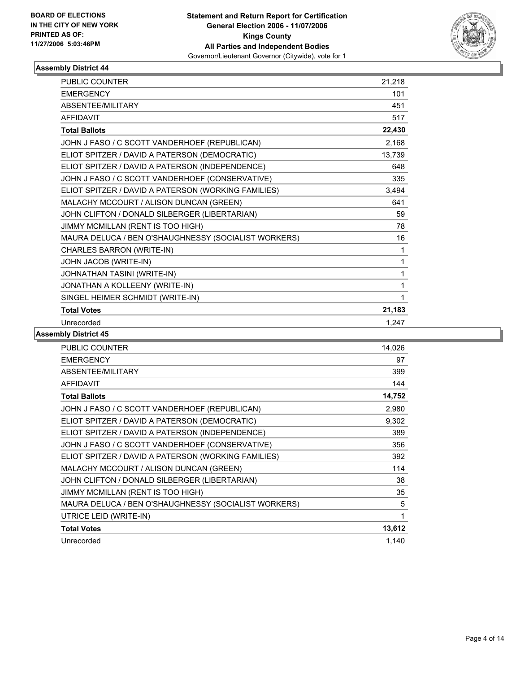

| <b>PUBLIC COUNTER</b>                                | 21,218 |  |
|------------------------------------------------------|--------|--|
| <b>EMERGENCY</b>                                     | 101    |  |
| <b>ABSENTEE/MILITARY</b>                             | 451    |  |
| <b>AFFIDAVIT</b>                                     | 517    |  |
| <b>Total Ballots</b>                                 | 22,430 |  |
| JOHN J FASO / C SCOTT VANDERHOEF (REPUBLICAN)        | 2,168  |  |
| ELIOT SPITZER / DAVID A PATERSON (DEMOCRATIC)        | 13,739 |  |
| ELIOT SPITZER / DAVID A PATERSON (INDEPENDENCE)      | 648    |  |
| JOHN J FASO / C SCOTT VANDERHOEF (CONSERVATIVE)      | 335    |  |
| ELIOT SPITZER / DAVID A PATERSON (WORKING FAMILIES)  | 3,494  |  |
| MALACHY MCCOURT / ALISON DUNCAN (GREEN)              | 641    |  |
| JOHN CLIFTON / DONALD SILBERGER (LIBERTARIAN)        | 59     |  |
| JIMMY MCMILLAN (RENT IS TOO HIGH)                    | 78     |  |
| MAURA DELUCA / BEN O'SHAUGHNESSY (SOCIALIST WORKERS) | 16     |  |
| CHARLES BARRON (WRITE-IN)                            | 1      |  |
| JOHN JACOB (WRITE-IN)                                | 1      |  |
| JOHNATHAN TASINI (WRITE-IN)                          | 1      |  |
| JONATHAN A KOLLEENY (WRITE-IN)                       | 1      |  |
| SINGEL HEIMER SCHMIDT (WRITE-IN)                     | 1      |  |
| <b>Total Votes</b>                                   | 21,183 |  |
| Unrecorded                                           | 1,247  |  |

| PUBLIC COUNTER                                       | 14,026 |
|------------------------------------------------------|--------|
| <b>EMERGENCY</b>                                     | 97     |
| ABSENTEE/MILITARY                                    | 399    |
| <b>AFFIDAVIT</b>                                     | 144    |
| <b>Total Ballots</b>                                 | 14,752 |
| JOHN J FASO / C SCOTT VANDERHOEF (REPUBLICAN)        | 2,980  |
| ELIOT SPITZER / DAVID A PATERSON (DEMOCRATIC)        | 9,302  |
| ELIOT SPITZER / DAVID A PATERSON (INDEPENDENCE)      | 389    |
| JOHN J FASO / C SCOTT VANDERHOEF (CONSERVATIVE)      | 356    |
| ELIOT SPITZER / DAVID A PATERSON (WORKING FAMILIES)  | 392    |
| MALACHY MCCOURT / ALISON DUNCAN (GREEN)              | 114    |
| JOHN CLIFTON / DONALD SILBERGER (LIBERTARIAN)        | 38     |
| JIMMY MCMILLAN (RENT IS TOO HIGH)                    | 35     |
| MAURA DELUCA / BEN O'SHAUGHNESSY (SOCIALIST WORKERS) | 5      |
| UTRICE LEID (WRITE-IN)                               | 1      |
| <b>Total Votes</b>                                   | 13,612 |
| Unrecorded                                           | 1.140  |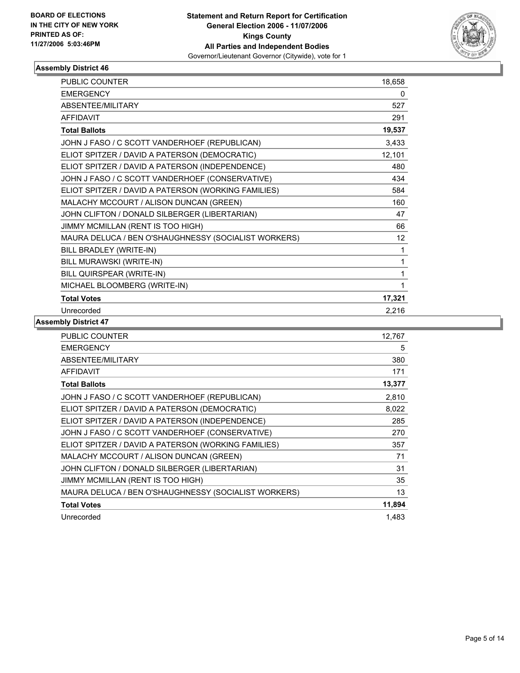

| <b>PUBLIC COUNTER</b>                                | 18,658 |
|------------------------------------------------------|--------|
| <b>EMERGENCY</b>                                     | 0      |
| ABSENTEE/MILITARY                                    | 527    |
| <b>AFFIDAVIT</b>                                     | 291    |
| <b>Total Ballots</b>                                 | 19,537 |
| JOHN J FASO / C SCOTT VANDERHOEF (REPUBLICAN)        | 3,433  |
| ELIOT SPITZER / DAVID A PATERSON (DEMOCRATIC)        | 12,101 |
| ELIOT SPITZER / DAVID A PATERSON (INDEPENDENCE)      | 480    |
| JOHN J FASO / C SCOTT VANDERHOEF (CONSERVATIVE)      | 434    |
| ELIOT SPITZER / DAVID A PATERSON (WORKING FAMILIES)  | 584    |
| MALACHY MCCOURT / ALISON DUNCAN (GREEN)              | 160    |
| JOHN CLIFTON / DONALD SILBERGER (LIBERTARIAN)        | 47     |
| JIMMY MCMILLAN (RENT IS TOO HIGH)                    | 66     |
| MAURA DELUCA / BEN O'SHAUGHNESSY (SOCIALIST WORKERS) | 12     |
| BILL BRADLEY (WRITE-IN)                              | 1      |
| BILL MURAWSKI (WRITE-IN)                             |        |
| BILL QUIRSPEAR (WRITE-IN)                            |        |
| MICHAEL BLOOMBERG (WRITE-IN)                         |        |
| <b>Total Votes</b>                                   | 17,321 |
| Unrecorded                                           | 2,216  |

| <b>EMERGENCY</b><br>5                                      |
|------------------------------------------------------------|
|                                                            |
| <b>ABSENTEE/MILITARY</b><br>380                            |
| <b>AFFIDAVIT</b><br>171                                    |
| 13,377<br><b>Total Ballots</b>                             |
| JOHN J FASO / C SCOTT VANDERHOEF (REPUBLICAN)<br>2,810     |
| ELIOT SPITZER / DAVID A PATERSON (DEMOCRATIC)<br>8,022     |
| ELIOT SPITZER / DAVID A PATERSON (INDEPENDENCE)<br>285     |
| JOHN J FASO / C SCOTT VANDERHOEF (CONSERVATIVE)<br>270     |
| ELIOT SPITZER / DAVID A PATERSON (WORKING FAMILIES)<br>357 |
| MALACHY MCCOURT / ALISON DUNCAN (GREEN)<br>71              |
| JOHN CLIFTON / DONALD SILBERGER (LIBERTARIAN)<br>31        |
| JIMMY MCMILLAN (RENT IS TOO HIGH)<br>35                    |
| MAURA DELUCA / BEN O'SHAUGHNESSY (SOCIALIST WORKERS)<br>13 |
| 11,894<br><b>Total Votes</b>                               |
| Unrecorded<br>1,483                                        |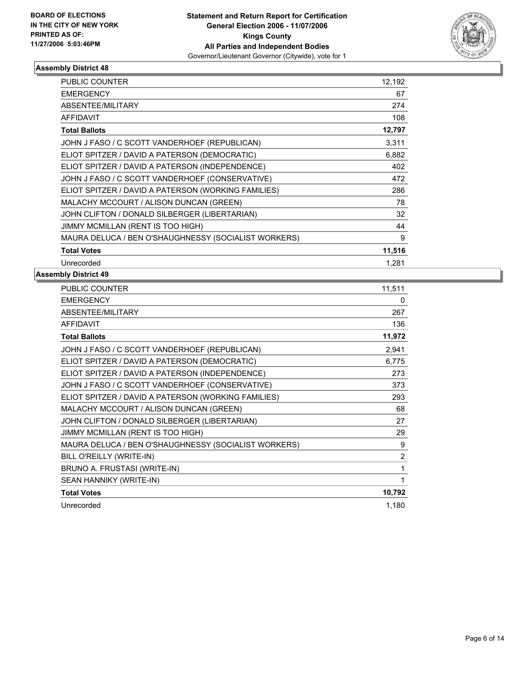

| <b>PUBLIC COUNTER</b>                                | 12,192 |  |
|------------------------------------------------------|--------|--|
| <b>EMERGENCY</b>                                     | 67     |  |
| ABSENTEE/MILITARY                                    | 274    |  |
| <b>AFFIDAVIT</b>                                     | 108    |  |
| <b>Total Ballots</b>                                 | 12,797 |  |
| JOHN J FASO / C SCOTT VANDERHOEF (REPUBLICAN)        | 3,311  |  |
| ELIOT SPITZER / DAVID A PATERSON (DEMOCRATIC)        | 6,882  |  |
| ELIOT SPITZER / DAVID A PATERSON (INDEPENDENCE)      | 402    |  |
| JOHN J FASO / C SCOTT VANDERHOEF (CONSERVATIVE)      | 472    |  |
| ELIOT SPITZER / DAVID A PATERSON (WORKING FAMILIES)  | 286    |  |
| MALACHY MCCOURT / ALISON DUNCAN (GREEN)              | 78     |  |
| JOHN CLIFTON / DONALD SILBERGER (LIBERTARIAN)        | 32     |  |
| JIMMY MCMILLAN (RENT IS TOO HIGH)                    | 44     |  |
| MAURA DELUCA / BEN O'SHAUGHNESSY (SOCIALIST WORKERS) | 9      |  |
| <b>Total Votes</b>                                   | 11,516 |  |
| Unrecorded                                           | 1.281  |  |

| PUBLIC COUNTER                                       | 11,511         |
|------------------------------------------------------|----------------|
| <b>EMERGENCY</b>                                     | 0              |
| ABSENTEE/MILITARY                                    | 267            |
| <b>AFFIDAVIT</b>                                     | 136            |
| <b>Total Ballots</b>                                 | 11,972         |
| JOHN J FASO / C SCOTT VANDERHOEF (REPUBLICAN)        | 2,941          |
| ELIOT SPITZER / DAVID A PATERSON (DEMOCRATIC)        | 6,775          |
| ELIOT SPITZER / DAVID A PATERSON (INDEPENDENCE)      | 273            |
| JOHN J FASO / C SCOTT VANDERHOEF (CONSERVATIVE)      | 373            |
| ELIOT SPITZER / DAVID A PATERSON (WORKING FAMILIES)  | 293            |
| MALACHY MCCOURT / ALISON DUNCAN (GREEN)              | 68             |
| JOHN CLIFTON / DONALD SILBERGER (LIBERTARIAN)        | 27             |
| JIMMY MCMILLAN (RENT IS TOO HIGH)                    | 29             |
| MAURA DELUCA / BEN O'SHAUGHNESSY (SOCIALIST WORKERS) | 9              |
| BILL O'REILLY (WRITE-IN)                             | $\overline{2}$ |
| BRUNO A. FRUSTASI (WRITE-IN)                         |                |
| SEAN HANNIKY (WRITE-IN)                              |                |
| <b>Total Votes</b>                                   | 10,792         |
| Unrecorded                                           | 1,180          |
|                                                      |                |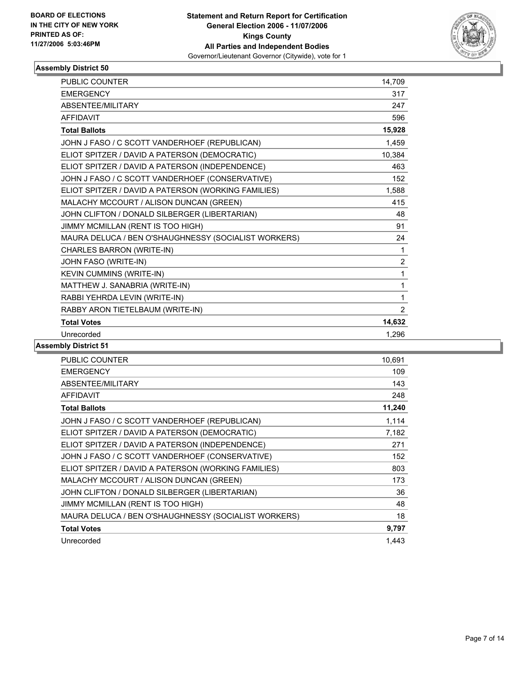

| <b>PUBLIC COUNTER</b>                                | 14,709         |
|------------------------------------------------------|----------------|
| <b>EMERGENCY</b>                                     | 317            |
| <b>ABSENTEE/MILITARY</b>                             | 247            |
| <b>AFFIDAVIT</b>                                     | 596            |
| <b>Total Ballots</b>                                 | 15,928         |
| JOHN J FASO / C SCOTT VANDERHOEF (REPUBLICAN)        | 1,459          |
| ELIOT SPITZER / DAVID A PATERSON (DEMOCRATIC)        | 10,384         |
| ELIOT SPITZER / DAVID A PATERSON (INDEPENDENCE)      | 463            |
| JOHN J FASO / C SCOTT VANDERHOEF (CONSERVATIVE)      | 152            |
| ELIOT SPITZER / DAVID A PATERSON (WORKING FAMILIES)  | 1,588          |
| MALACHY MCCOURT / ALISON DUNCAN (GREEN)              | 415            |
| JOHN CLIFTON / DONALD SILBERGER (LIBERTARIAN)        | 48             |
| JIMMY MCMILLAN (RENT IS TOO HIGH)                    | 91             |
| MAURA DELUCA / BEN O'SHAUGHNESSY (SOCIALIST WORKERS) | 24             |
| CHARLES BARRON (WRITE-IN)                            | 1              |
| JOHN FASO (WRITE-IN)                                 | $\overline{2}$ |
| KEVIN CUMMINS (WRITE-IN)                             | 1              |
| MATTHEW J. SANABRIA (WRITE-IN)                       | 1              |
| RABBI YEHRDA LEVIN (WRITE-IN)                        | 1              |
| RABBY ARON TIETELBAUM (WRITE-IN)                     | $\overline{2}$ |
| <b>Total Votes</b>                                   | 14,632         |
| Unrecorded                                           | 1,296          |

| <b>PUBLIC COUNTER</b>                                | 10,691 |
|------------------------------------------------------|--------|
| <b>EMERGENCY</b>                                     | 109    |
| ABSENTEE/MILITARY                                    | 143    |
| <b>AFFIDAVIT</b>                                     | 248    |
| <b>Total Ballots</b>                                 | 11,240 |
| JOHN J FASO / C SCOTT VANDERHOEF (REPUBLICAN)        | 1,114  |
| ELIOT SPITZER / DAVID A PATERSON (DEMOCRATIC)        | 7,182  |
| ELIOT SPITZER / DAVID A PATERSON (INDEPENDENCE)      | 271    |
| JOHN J FASO / C SCOTT VANDERHOEF (CONSERVATIVE)      | 152    |
| ELIOT SPITZER / DAVID A PATERSON (WORKING FAMILIES)  | 803    |
| MALACHY MCCOURT / ALISON DUNCAN (GREEN)              | 173    |
| JOHN CLIFTON / DONALD SILBERGER (LIBERTARIAN)        | 36     |
| JIMMY MCMILLAN (RENT IS TOO HIGH)                    | 48     |
| MAURA DELUCA / BEN O'SHAUGHNESSY (SOCIALIST WORKERS) | 18     |
| <b>Total Votes</b>                                   | 9,797  |
| Unrecorded                                           | 1.443  |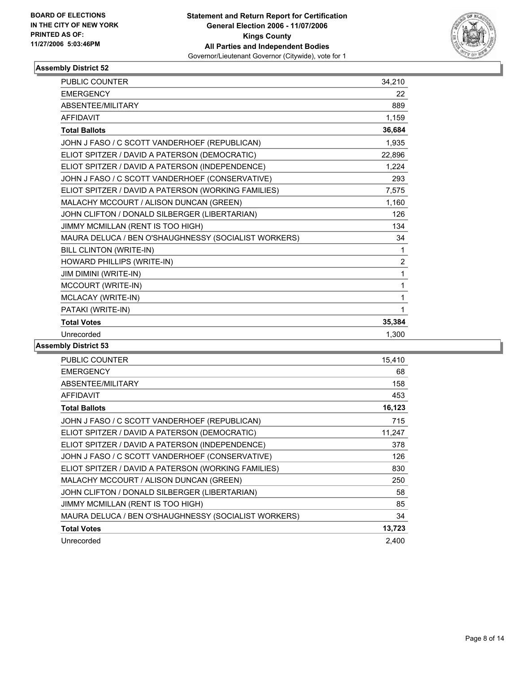

| PUBLIC COUNTER                                       | 34,210         |
|------------------------------------------------------|----------------|
| <b>EMERGENCY</b>                                     | 22             |
| <b>ABSENTEE/MILITARY</b>                             | 889            |
| <b>AFFIDAVIT</b>                                     | 1,159          |
| <b>Total Ballots</b>                                 | 36,684         |
| JOHN J FASO / C SCOTT VANDERHOEF (REPUBLICAN)        | 1,935          |
| ELIOT SPITZER / DAVID A PATERSON (DEMOCRATIC)        | 22,896         |
| ELIOT SPITZER / DAVID A PATERSON (INDEPENDENCE)      | 1,224          |
| JOHN J FASO / C SCOTT VANDERHOEF (CONSERVATIVE)      | 293            |
| ELIOT SPITZER / DAVID A PATERSON (WORKING FAMILIES)  | 7,575          |
| MALACHY MCCOURT / ALISON DUNCAN (GREEN)              | 1,160          |
| JOHN CLIFTON / DONALD SILBERGER (LIBERTARIAN)        | 126            |
| JIMMY MCMILLAN (RENT IS TOO HIGH)                    | 134            |
| MAURA DELUCA / BEN O'SHAUGHNESSY (SOCIALIST WORKERS) | 34             |
| BILL CLINTON (WRITE-IN)                              | 1              |
| HOWARD PHILLIPS (WRITE-IN)                           | $\overline{2}$ |
| JIM DIMINI (WRITE-IN)                                | 1              |
| MCCOURT (WRITE-IN)                                   | 1              |
| MCLACAY (WRITE-IN)                                   | 1              |
| PATAKI (WRITE-IN)                                    |                |
| <b>Total Votes</b>                                   | 35,384         |
| Unrecorded                                           | 1,300          |

| PUBLIC COUNTER                                       | 15,410 |
|------------------------------------------------------|--------|
| <b>EMERGENCY</b>                                     | 68     |
| ABSENTEE/MILITARY                                    | 158    |
| <b>AFFIDAVIT</b>                                     | 453    |
| <b>Total Ballots</b>                                 | 16,123 |
| JOHN J FASO / C SCOTT VANDERHOEF (REPUBLICAN)        | 715    |
| ELIOT SPITZER / DAVID A PATERSON (DEMOCRATIC)        | 11,247 |
| ELIOT SPITZER / DAVID A PATERSON (INDEPENDENCE)      | 378    |
| JOHN J FASO / C SCOTT VANDERHOEF (CONSERVATIVE)      | 126    |
| ELIOT SPITZER / DAVID A PATERSON (WORKING FAMILIES)  | 830    |
| MALACHY MCCOURT / ALISON DUNCAN (GREEN)              | 250    |
| JOHN CLIFTON / DONALD SILBERGER (LIBERTARIAN)        | 58     |
| JIMMY MCMILLAN (RENT IS TOO HIGH)                    | 85     |
| MAURA DELUCA / BEN O'SHAUGHNESSY (SOCIALIST WORKERS) | 34     |
| <b>Total Votes</b>                                   | 13,723 |
| Unrecorded                                           | 2,400  |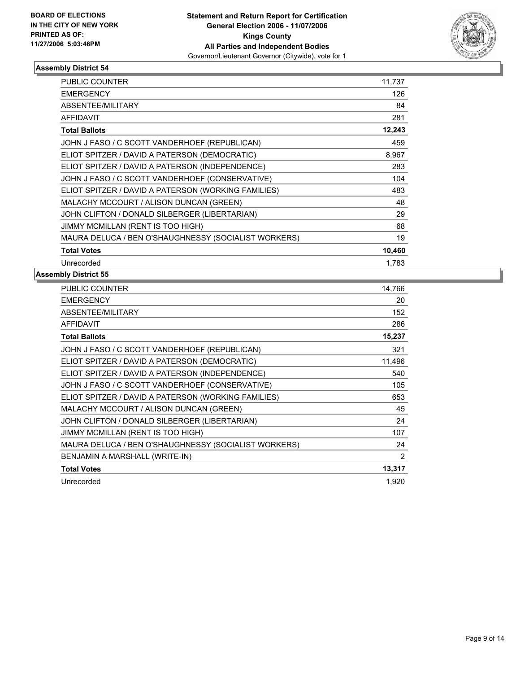

| PUBLIC COUNTER                                       | 11,737 |
|------------------------------------------------------|--------|
| <b>EMERGENCY</b>                                     | 126    |
| <b>ABSENTEE/MILITARY</b>                             | 84     |
| <b>AFFIDAVIT</b>                                     | 281    |
| <b>Total Ballots</b>                                 | 12,243 |
| JOHN J FASO / C SCOTT VANDERHOEF (REPUBLICAN)        | 459    |
| ELIOT SPITZER / DAVID A PATERSON (DEMOCRATIC)        | 8,967  |
| ELIOT SPITZER / DAVID A PATERSON (INDEPENDENCE)      | 283    |
| JOHN J FASO / C SCOTT VANDERHOEF (CONSERVATIVE)      | 104    |
| ELIOT SPITZER / DAVID A PATERSON (WORKING FAMILIES)  | 483    |
| MALACHY MCCOURT / ALISON DUNCAN (GREEN)              | 48     |
| JOHN CLIFTON / DONALD SILBERGER (LIBERTARIAN)        | 29     |
| JIMMY MCMILLAN (RENT IS TOO HIGH)                    | 68     |
| MAURA DELUCA / BEN O'SHAUGHNESSY (SOCIALIST WORKERS) | 19     |
| <b>Total Votes</b>                                   | 10,460 |
| Unrecorded                                           | 1.783  |

| <b>PUBLIC COUNTER</b>                                | 14,766 |
|------------------------------------------------------|--------|
| <b>EMERGENCY</b>                                     | 20     |
| ABSENTEE/MILITARY                                    | 152    |
| <b>AFFIDAVIT</b>                                     | 286    |
| <b>Total Ballots</b>                                 | 15,237 |
| JOHN J FASO / C SCOTT VANDERHOEF (REPUBLICAN)        | 321    |
| ELIOT SPITZER / DAVID A PATERSON (DEMOCRATIC)        | 11,496 |
| ELIOT SPITZER / DAVID A PATERSON (INDEPENDENCE)      | 540    |
| JOHN J FASO / C SCOTT VANDERHOEF (CONSERVATIVE)      | 105    |
| ELIOT SPITZER / DAVID A PATERSON (WORKING FAMILIES)  | 653    |
| MALACHY MCCOURT / ALISON DUNCAN (GREEN)              | 45     |
| JOHN CLIFTON / DONALD SILBERGER (LIBERTARIAN)        | 24     |
| JIMMY MCMILLAN (RENT IS TOO HIGH)                    | 107    |
| MAURA DELUCA / BEN O'SHAUGHNESSY (SOCIALIST WORKERS) | 24     |
| BENJAMIN A MARSHALL (WRITE-IN)                       | 2      |
| <b>Total Votes</b>                                   | 13,317 |
| Unrecorded                                           | 1,920  |
|                                                      |        |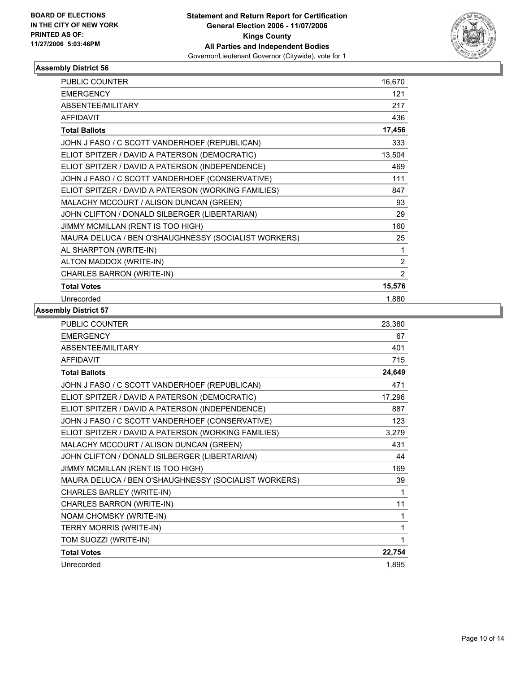

| <b>PUBLIC COUNTER</b>                                | 16,670         |
|------------------------------------------------------|----------------|
| <b>EMERGENCY</b>                                     | 121            |
| ABSENTEE/MILITARY                                    | 217            |
| <b>AFFIDAVIT</b>                                     | 436            |
| <b>Total Ballots</b>                                 | 17,456         |
| JOHN J FASO / C SCOTT VANDERHOEF (REPUBLICAN)        | 333            |
| ELIOT SPITZER / DAVID A PATERSON (DEMOCRATIC)        | 13,504         |
| ELIOT SPITZER / DAVID A PATERSON (INDEPENDENCE)      | 469            |
| JOHN J FASO / C SCOTT VANDERHOEF (CONSERVATIVE)      | 111            |
| ELIOT SPITZER / DAVID A PATERSON (WORKING FAMILIES)  | 847            |
| MALACHY MCCOURT / ALISON DUNCAN (GREEN)              | 93             |
| JOHN CLIFTON / DONALD SILBERGER (LIBERTARIAN)        | 29             |
| JIMMY MCMILLAN (RENT IS TOO HIGH)                    | 160            |
| MAURA DELUCA / BEN O'SHAUGHNESSY (SOCIALIST WORKERS) | 25             |
| AL SHARPTON (WRITE-IN)                               | 1              |
| ALTON MADDOX (WRITE-IN)                              | $\overline{c}$ |
| CHARLES BARRON (WRITE-IN)                            | $\overline{c}$ |
| <b>Total Votes</b>                                   | 15,576         |
| Unrecorded                                           | 1,880          |

| PUBLIC COUNTER                                       | 23,380 |
|------------------------------------------------------|--------|
| <b>EMERGENCY</b>                                     | 67     |
| ABSENTEE/MILITARY                                    | 401    |
| <b>AFFIDAVIT</b>                                     | 715    |
| <b>Total Ballots</b>                                 | 24,649 |
| JOHN J FASO / C SCOTT VANDERHOEF (REPUBLICAN)        | 471    |
| ELIOT SPITZER / DAVID A PATERSON (DEMOCRATIC)        | 17,296 |
| ELIOT SPITZER / DAVID A PATERSON (INDEPENDENCE)      | 887    |
| JOHN J FASO / C SCOTT VANDERHOEF (CONSERVATIVE)      | 123    |
| ELIOT SPITZER / DAVID A PATERSON (WORKING FAMILIES)  | 3,279  |
| MALACHY MCCOURT / ALISON DUNCAN (GREEN)              | 431    |
| JOHN CLIFTON / DONALD SILBERGER (LIBERTARIAN)        | 44     |
| JIMMY MCMILLAN (RENT IS TOO HIGH)                    | 169    |
| MAURA DELUCA / BEN O'SHAUGHNESSY (SOCIALIST WORKERS) | 39     |
| CHARLES BARLEY (WRITE-IN)                            |        |
| CHARLES BARRON (WRITE-IN)                            | 11     |
| NOAM CHOMSKY (WRITE-IN)                              | 1      |
| TERRY MORRIS (WRITE-IN)                              |        |
| TOM SUOZZI (WRITE-IN)                                |        |
| <b>Total Votes</b>                                   | 22,754 |
| Unrecorded                                           | 1,895  |
|                                                      |        |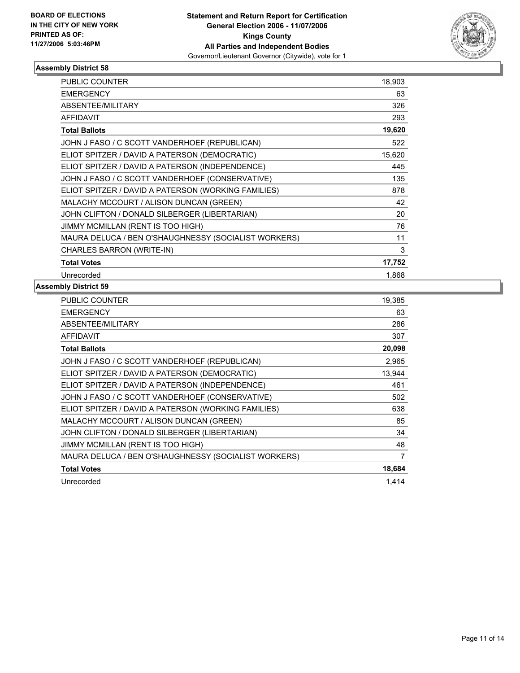

| <b>PUBLIC COUNTER</b>                                | 18,903 |  |
|------------------------------------------------------|--------|--|
| <b>EMERGENCY</b>                                     | 63     |  |
| ABSENTEE/MILITARY                                    | 326    |  |
| <b>AFFIDAVIT</b>                                     | 293    |  |
| <b>Total Ballots</b>                                 | 19,620 |  |
| JOHN J FASO / C SCOTT VANDERHOEF (REPUBLICAN)        | 522    |  |
| ELIOT SPITZER / DAVID A PATERSON (DEMOCRATIC)        | 15,620 |  |
| ELIOT SPITZER / DAVID A PATERSON (INDEPENDENCE)      | 445    |  |
| JOHN J FASO / C SCOTT VANDERHOEF (CONSERVATIVE)      | 135    |  |
| ELIOT SPITZER / DAVID A PATERSON (WORKING FAMILIES)  | 878    |  |
| MALACHY MCCOURT / ALISON DUNCAN (GREEN)              | 42     |  |
| JOHN CLIFTON / DONALD SILBERGER (LIBERTARIAN)        | 20     |  |
| JIMMY MCMILLAN (RENT IS TOO HIGH)                    | 76     |  |
| MAURA DELUCA / BEN O'SHAUGHNESSY (SOCIALIST WORKERS) | 11     |  |
| CHARLES BARRON (WRITE-IN)                            | 3      |  |
| <b>Total Votes</b>                                   | 17,752 |  |
| Unrecorded                                           | 1,868  |  |

| PUBLIC COUNTER                                       | 19,385 |
|------------------------------------------------------|--------|
| <b>EMERGENCY</b>                                     | 63     |
| ABSENTEE/MILITARY                                    | 286    |
| <b>AFFIDAVIT</b>                                     | 307    |
| <b>Total Ballots</b>                                 | 20,098 |
| JOHN J FASO / C SCOTT VANDERHOEF (REPUBLICAN)        | 2,965  |
| ELIOT SPITZER / DAVID A PATERSON (DEMOCRATIC)        | 13,944 |
| ELIOT SPITZER / DAVID A PATERSON (INDEPENDENCE)      | 461    |
| JOHN J FASO / C SCOTT VANDERHOEF (CONSERVATIVE)      | 502    |
| ELIOT SPITZER / DAVID A PATERSON (WORKING FAMILIES)  | 638    |
| MALACHY MCCOURT / ALISON DUNCAN (GREEN)              | 85     |
| JOHN CLIFTON / DONALD SILBERGER (LIBERTARIAN)        | 34     |
| JIMMY MCMILLAN (RENT IS TOO HIGH)                    | 48     |
| MAURA DELUCA / BEN O'SHAUGHNESSY (SOCIALIST WORKERS) | 7      |
| <b>Total Votes</b>                                   | 18,684 |
| Unrecorded                                           | 1.414  |
|                                                      |        |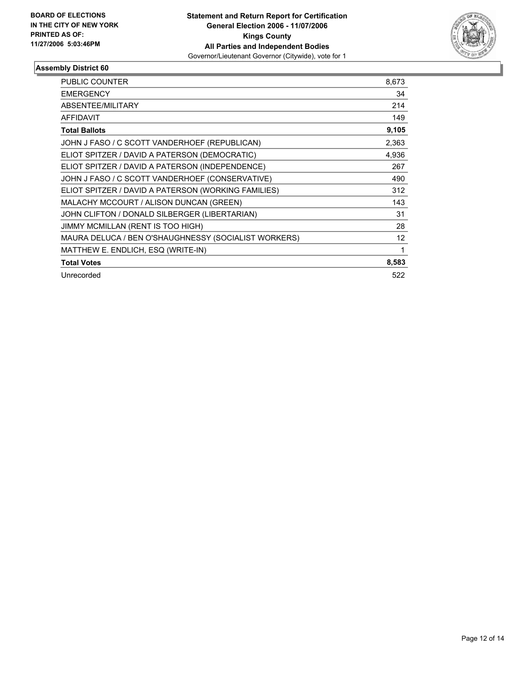

| <b>PUBLIC COUNTER</b>                                | 8,673 |
|------------------------------------------------------|-------|
| <b>EMERGENCY</b>                                     | 34    |
| ABSENTEE/MILITARY                                    | 214   |
| <b>AFFIDAVIT</b>                                     | 149   |
| <b>Total Ballots</b>                                 | 9,105 |
| JOHN J FASO / C SCOTT VANDERHOEF (REPUBLICAN)        | 2,363 |
| ELIOT SPITZER / DAVID A PATERSON (DEMOCRATIC)        | 4,936 |
| ELIOT SPITZER / DAVID A PATERSON (INDEPENDENCE)      | 267   |
| JOHN J FASO / C SCOTT VANDERHOEF (CONSERVATIVE)      | 490   |
| ELIOT SPITZER / DAVID A PATERSON (WORKING FAMILIES)  | 312   |
| MALACHY MCCOURT / ALISON DUNCAN (GREEN)              | 143   |
| JOHN CLIFTON / DONALD SILBERGER (LIBERTARIAN)        | 31    |
| JIMMY MCMILLAN (RENT IS TOO HIGH)                    | 28    |
| MAURA DELUCA / BEN O'SHAUGHNESSY (SOCIALIST WORKERS) | 12    |
| MATTHEW E. ENDLICH, ESQ (WRITE-IN)                   |       |
| <b>Total Votes</b>                                   | 8,583 |
| Unrecorded                                           | 522   |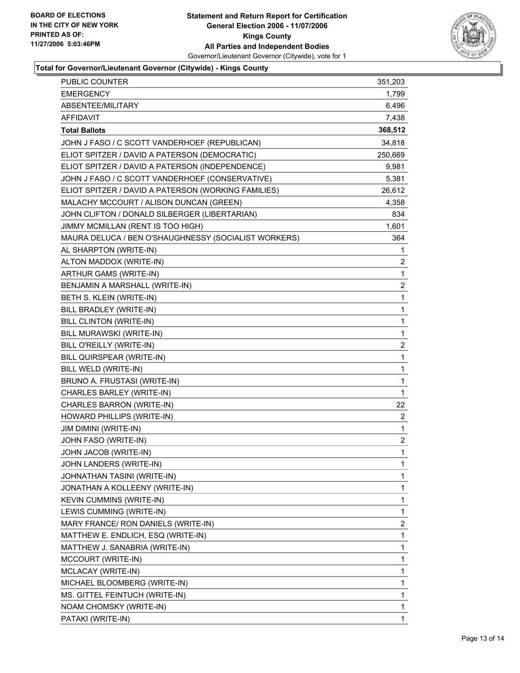

## **Total for Governor/Lieutenant Governor (Citywide) - Kings County**

| PUBLIC COUNTER                                       | 351,203                 |
|------------------------------------------------------|-------------------------|
| <b>EMERGENCY</b>                                     | 1,799                   |
| ABSENTEE/MILITARY                                    | 6,496                   |
| AFFIDAVIT                                            | 7,438                   |
| <b>Total Ballots</b>                                 | 368,512                 |
| JOHN J FASO / C SCOTT VANDERHOEF (REPUBLICAN)        | 34,818                  |
| ELIOT SPITZER / DAVID A PATERSON (DEMOCRATIC)        | 250,669                 |
| ELIOT SPITZER / DAVID A PATERSON (INDEPENDENCE)      | 9,981                   |
| JOHN J FASO / C SCOTT VANDERHOEF (CONSERVATIVE)      | 5,381                   |
| ELIOT SPITZER / DAVID A PATERSON (WORKING FAMILIES)  | 26,612                  |
| MALACHY MCCOURT / ALISON DUNCAN (GREEN)              | 4,358                   |
| JOHN CLIFTON / DONALD SILBERGER (LIBERTARIAN)        | 834                     |
| JIMMY MCMILLAN (RENT IS TOO HIGH)                    | 1,601                   |
| MAURA DELUCA / BEN O'SHAUGHNESSY (SOCIALIST WORKERS) | 364                     |
| AL SHARPTON (WRITE-IN)                               | 1                       |
| ALTON MADDOX (WRITE-IN)                              | 2                       |
| ARTHUR GAMS (WRITE-IN)                               | $\mathbf 1$             |
| BENJAMIN A MARSHALL (WRITE-IN)                       | $\overline{\mathbf{c}}$ |
| BETH S. KLEIN (WRITE-IN)                             | $\mathbf 1$             |
| BILL BRADLEY (WRITE-IN)                              | 1                       |
| BILL CLINTON (WRITE-IN)                              | 1                       |
| BILL MURAWSKI (WRITE-IN)                             | $\mathbf 1$             |
| BILL O'REILLY (WRITE-IN)                             | $\overline{\mathbf{c}}$ |
| BILL QUIRSPEAR (WRITE-IN)                            | 1                       |
| BILL WELD (WRITE-IN)                                 | 1                       |
| BRUNO A. FRUSTASI (WRITE-IN)                         | 1                       |
| CHARLES BARLEY (WRITE-IN)                            | 1                       |
| CHARLES BARRON (WRITE-IN)                            | 22                      |
| HOWARD PHILLIPS (WRITE-IN)                           | $\overline{\mathbf{c}}$ |
| JIM DIMINI (WRITE-IN)                                | $\mathbf 1$             |
| JOHN FASO (WRITE-IN)                                 | $\overline{\mathbf{c}}$ |
| JOHN JACOB (WRITE-IN)                                | $\mathbf{1}$            |
| JOHN LANDERS (WRITE-IN)                              | 1                       |
| JOHNATHAN TASINI (WRITE-IN)                          | 1                       |
| JONATHAN A KOLLEENY (WRITE-IN)                       | 1                       |
| KEVIN CUMMINS (WRITE-IN)                             | 1                       |
| LEWIS CUMMING (WRITE-IN)                             | 1                       |
| MARY FRANCE/ RON DANIELS (WRITE-IN)                  | $\overline{c}$          |
| MATTHEW E. ENDLICH, ESQ (WRITE-IN)                   | 1                       |
| MATTHEW J. SANABRIA (WRITE-IN)                       | 1                       |
| MCCOURT (WRITE-IN)                                   | 1                       |
| MCLACAY (WRITE-IN)                                   | 1                       |
| MICHAEL BLOOMBERG (WRITE-IN)                         | 1                       |
| MS. GITTEL FEINTUCH (WRITE-IN)                       | 1                       |
| NOAM CHOMSKY (WRITE-IN)                              | 1                       |
| PATAKI (WRITE-IN)                                    | 1                       |
|                                                      |                         |